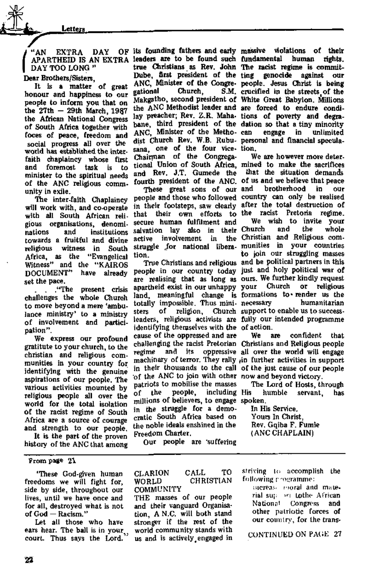## "AN EXTRA DAY APARTHEID IS AN EXTRA DAY TOO LONG"

Dear Brothers/Sisters,

It Is a matter of great honour and happiness to our people to inform you that on the  $27th - 29th$  March, 1987 the African National Congress of South Africa together with foces of peace, freedom and social progress all over the world has established the interfaith chaplaincy whose first and foremost task is to minister to the spiritual needs of the ANC religious community in exile.

The inter-faith Chaplaincy will work with, and co-operate with all South African religious organisations, denominations and institutions towards a fruitful and divine religious witness in South Africa, as the "Evangelical Witness" and the "KAIROS DOCUMENT" have already set the pace.

its founding fathers and early massive violations of their leaders are to be found such fundamental human rights. true Christians as Rev. John The racist regime is commit-Dube, first president of the ting genocide against our ANC, Minister of the Congre-people. Jesus Christ is being gational Church, Makgatho, second president of White Great Babylon. Millions the ANC Methodist leader and are forced to endure condilay preacher; Rev. Z.R. Maha-tions of poverty and degrabane, third president of the dation so that a tiny minority ANC, Minister of the Metho- can dist Church Rev. W.B. Rubu-personal and financial speculaust character for, who four person Chairman of the Congregational Union of South Africa, and Rev. J.T. Gumede the and Rev. J.T. Gumede the fourth president of the ANC. of us and we believe that peace

. . .'The present crisis challenges the whole Church to move beyond a mere 'ambulance ministry' to a ministry of involvement and participation".

True Christians and religious and be political partners in this We are however more determined to make the sacrifices that the situation demands and brotherhood in our We wish to invite your Christian and Religious comto join our struggling masses your Church or religious necessary humanitarian Church support to enable us to success-

people in our country today just and holy political war of are realising that as long as ours. We further kindly request apartheid exist in our unhappy your Church land, meaningful change is formations to- render us the totally impossible. Thus ministers of religion, leaders, religious activists are fully our intended programme identifying themselves with the of action. cause of the oppressed and are challenging the racist Pretorian Christians and Religious people machinary of terror. *They* rally fin further activities in support of the ANC to join with other now and beyond victory. pp are now to join with other pacross to monitative masses gi uit people, tottuutug<br>...:Bone of believers to engage  $\text{m}$ llitude of octobers, to engage

in the struggle for a deniothe noble ideals enshined in the the noble ideals enshined in the<br>Freedom Charter.

S.M. crucified in the streets of the can by maint mily millonly

We express our profound gratitute to your church, to the christian and religious communities in your country for identifying with the genuine aspirations of our people. The various activities mounted by religious people all over the world for the total isolation of the racist regime of South Africa are a source of courage and strength to our people. It is the part of the proven history of the ANC that among

These great sons of our people and those who followed country can only be realised in their footsteps, saw clearly after the total destruction of that their own efforts to the racist Pretoria regime. secure human fulfilment and salvation lay also in their Church and the whole active involvement in struggle .for national libera-munities in your countries tion.

Our people are 'suffering

regime and its oppressive all over the world will engage in their thousands to the call of the just cause of our people We are confident that

The Lord of Hosts, through including His humble servant, has spoken.

In His Service.

Yours In Christ, Rev. Gqiba F. Fumie (ANC CHAPLAIN)

## From  $p$ <sup>sge</sup>  $21$

'These God-given human freedoms we will fight for, side by side, throughout our lives, until we have once and for all, destroyed what is not of God - Racism."

Let all those who have ears hear. The ball is in your, court. Thus says the Lord.

TO **CLARION** CALL CHRISTIAN WORLD **COMMUNITY** THE masses of our people and their vanguard Organisation, A N.C. will both stand stronger if the rest of the world community stands with us and is actively engaged in striving to accomplish the following programme:

mereas moral and material sup on tothe African National I Congress and other patriotic forces of our country, for the trans-

CONTINUED ON PAGE 27